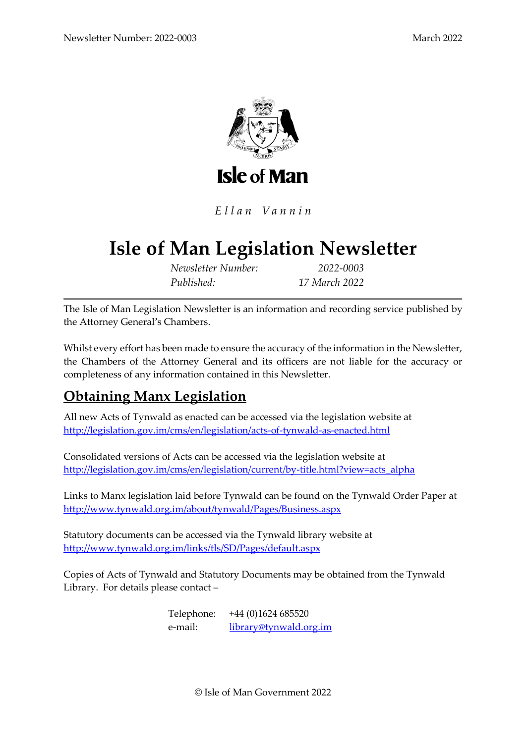

Ellan Vannin

# **Isle of Man Legislation Newsletter**

*Newsletter Number: 2022-0003 Published: 17 March 2022*

The Isle of Man Legislation Newsletter is an information and recording service published by the Attorney General's Chambers.

Whilst every effort has been made to ensure the accuracy of the information in the Newsletter, the Chambers of the Attorney General and its officers are not liable for the accuracy or completeness of any information contained in this Newsletter.

# **Obtaining Manx Legislation**

All new Acts of Tynwald as enacted can be accessed via the legislation website at <http://legislation.gov.im/cms/en/legislation/acts-of-tynwald-as-enacted.html>

Consolidated versions of Acts can be accessed via the legislation website at [http://legislation.gov.im/cms/en/legislation/current/by-title.html?view=acts\\_alpha](http://legislation.gov.im/cms/en/legislation/current/by-title.html?view=acts_alpha)

Links to Manx legislation laid before Tynwald can be found on the Tynwald Order Paper at <http://www.tynwald.org.im/about/tynwald/Pages/Business.aspx>

Statutory documents can be accessed via the Tynwald library website at <http://www.tynwald.org.im/links/tls/SD/Pages/default.aspx>

Copies of Acts of Tynwald and Statutory Documents may be obtained from the Tynwald Library. For details please contact –

> Telephone: +44 (0)1624 685520 e-mail: [library@tynwald.org.im](mailto:library@tynwald.org.im)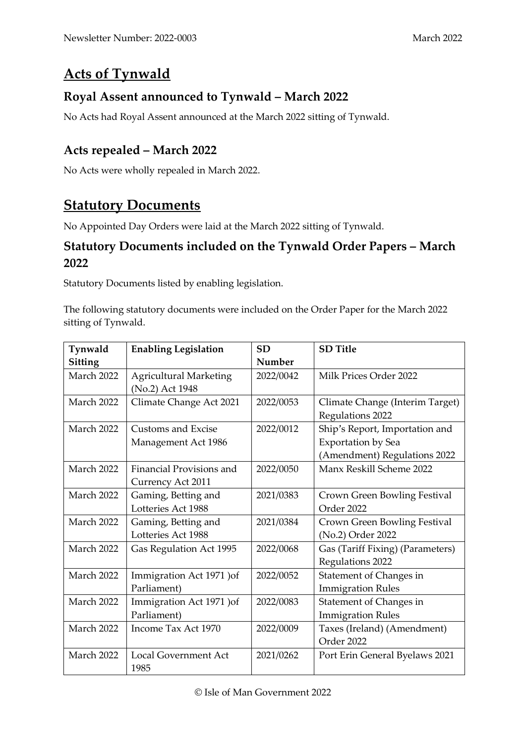# **Acts of Tynwald**

#### **Royal Assent announced to Tynwald – March 2022**

No Acts had Royal Assent announced at the March 2022 sitting of Tynwald.

#### **Acts repealed – March 2022**

No Acts were wholly repealed in March 2022.

## **Statutory Documents**

No Appointed Day Orders were laid at the March 2022 sitting of Tynwald.

#### **Statutory Documents included on the Tynwald Order Papers – March 2022**

Statutory Documents listed by enabling legislation.

The following statutory documents were included on the Order Paper for the March 2022 sitting of Tynwald.

| Tynwald        | <b>Enabling Legislation</b>                      | <b>SD</b> | <b>SD Title</b>                                                                             |
|----------------|--------------------------------------------------|-----------|---------------------------------------------------------------------------------------------|
| <b>Sitting</b> |                                                  | Number    |                                                                                             |
| March 2022     | <b>Agricultural Marketing</b><br>(No.2) Act 1948 | 2022/0042 | Milk Prices Order 2022                                                                      |
| March 2022     | Climate Change Act 2021                          | 2022/0053 | Climate Change (Interim Target)<br>Regulations 2022                                         |
| March 2022     | <b>Customs and Excise</b><br>Management Act 1986 | 2022/0012 | Ship's Report, Importation and<br><b>Exportation by Sea</b><br>(Amendment) Regulations 2022 |
| March 2022     | Financial Provisions and<br>Currency Act 2011    | 2022/0050 | Manx Reskill Scheme 2022                                                                    |
| March 2022     | Gaming, Betting and<br>Lotteries Act 1988        | 2021/0383 | Crown Green Bowling Festival<br>Order 2022                                                  |
| March 2022     | Gaming, Betting and<br>Lotteries Act 1988        | 2021/0384 | Crown Green Bowling Festival<br>(No.2) Order 2022                                           |
| March 2022     | Gas Regulation Act 1995                          | 2022/0068 | Gas (Tariff Fixing) (Parameters)<br>Regulations 2022                                        |
| March 2022     | Immigration Act 1971 )of<br>Parliament)          | 2022/0052 | Statement of Changes in<br><b>Immigration Rules</b>                                         |
| March 2022     | Immigration Act 1971 )of<br>Parliament)          | 2022/0083 | Statement of Changes in<br><b>Immigration Rules</b>                                         |
| March 2022     | Income Tax Act 1970                              | 2022/0009 | Taxes (Ireland) (Amendment)<br>Order 2022                                                   |
| March 2022     | <b>Local Government Act</b><br>1985              | 2021/0262 | Port Erin General Byelaws 2021                                                              |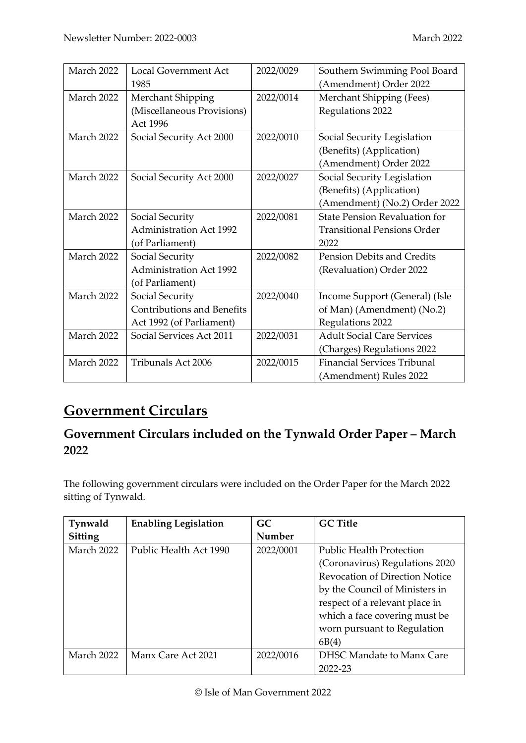| March 2022 | <b>Local Government Act</b>       | 2022/0029 | Southern Swimming Pool Board         |
|------------|-----------------------------------|-----------|--------------------------------------|
|            | 1985                              |           | (Amendment) Order 2022               |
| March 2022 | Merchant Shipping                 | 2022/0014 | Merchant Shipping (Fees)             |
|            | (Miscellaneous Provisions)        |           | Regulations 2022                     |
|            | <b>Act 1996</b>                   |           |                                      |
| March 2022 | Social Security Act 2000          | 2022/0010 | Social Security Legislation          |
|            |                                   |           | (Benefits) (Application)             |
|            |                                   |           | (Amendment) Order 2022               |
| March 2022 | Social Security Act 2000          | 2022/0027 | Social Security Legislation          |
|            |                                   |           | (Benefits) (Application)             |
|            |                                   |           | (Amendment) (No.2) Order 2022        |
| March 2022 | Social Security                   | 2022/0081 | <b>State Pension Revaluation for</b> |
|            | <b>Administration Act 1992</b>    |           | <b>Transitional Pensions Order</b>   |
|            | (of Parliament)                   |           | 2022                                 |
| March 2022 | Social Security                   | 2022/0082 | Pension Debits and Credits           |
|            | <b>Administration Act 1992</b>    |           | (Revaluation) Order 2022             |
|            | (of Parliament)                   |           |                                      |
| March 2022 | Social Security                   | 2022/0040 | Income Support (General) (Isle       |
|            | <b>Contributions and Benefits</b> |           | of Man) (Amendment) (No.2)           |
|            | Act 1992 (of Parliament)          |           | Regulations 2022                     |
| March 2022 | Social Services Act 2011          | 2022/0031 | <b>Adult Social Care Services</b>    |
|            |                                   |           | (Charges) Regulations 2022           |
| March 2022 | Tribunals Act 2006                | 2022/0015 | <b>Financial Services Tribunal</b>   |
|            |                                   |           | (Amendment) Rules 2022               |

# **Government Circulars**

### **Government Circulars included on the Tynwald Order Paper – March 2022**

The following government circulars were included on the Order Paper for the March 2022 sitting of Tynwald.

| Tynwald        | <b>Enabling Legislation</b> | <b>GC</b> | <b>GC Title</b>                       |
|----------------|-----------------------------|-----------|---------------------------------------|
| <b>Sitting</b> |                             | Number    |                                       |
| March 2022     | Public Health Act 1990      | 2022/0001 | <b>Public Health Protection</b>       |
|                |                             |           | (Coronavirus) Regulations 2020        |
|                |                             |           | <b>Revocation of Direction Notice</b> |
|                |                             |           | by the Council of Ministers in        |
|                |                             |           | respect of a relevant place in        |
|                |                             |           | which a face covering must be         |
|                |                             |           | worn pursuant to Regulation           |
|                |                             |           | 6B(4)                                 |
| March 2022     | Manx Care Act 2021          | 2022/0016 | DHSC Mandate to Manx Care             |
|                |                             |           | 2022-23                               |